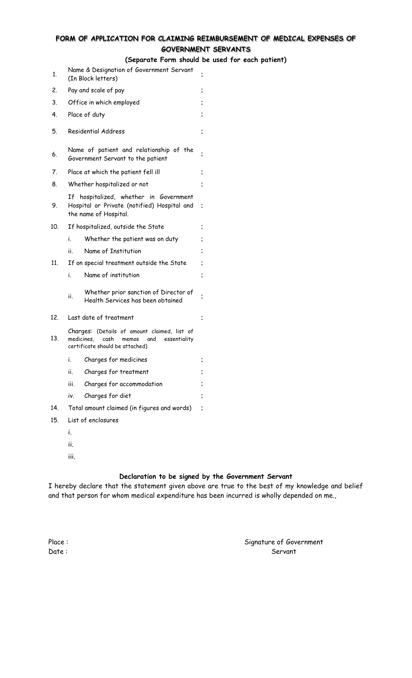## **FORM OF APPLICATION FOR CLAIMING REIMBURSEMENT OF MEDICAL EXPENSES OF GOVERNMENT SERVANTS**

**(Separate Form should be used for each patient)**

| 1.  | Name & Designation of Government Servant<br>(In Block letters)                                                                     |  |  |  |  |
|-----|------------------------------------------------------------------------------------------------------------------------------------|--|--|--|--|
| 2.  | Pay and scale of pay                                                                                                               |  |  |  |  |
| 3.  | Office in which employed                                                                                                           |  |  |  |  |
| 4.  | Place of duty                                                                                                                      |  |  |  |  |
| 5.  | <b>Residential Address</b>                                                                                                         |  |  |  |  |
| 6.  | Name of patient and relationship of the<br>Government Servant to the patient                                                       |  |  |  |  |
| 7.  | Place at which the patient fell ill                                                                                                |  |  |  |  |
| 8.  | Whether hospitalized or not                                                                                                        |  |  |  |  |
| 9.  | hospitalized, whether in Government<br>Ιf<br>Hospital or Private (notified) Hospital and<br>the name of Hospital.                  |  |  |  |  |
| 10. | If hospitalized, outside the State                                                                                                 |  |  |  |  |
|     | i.<br>Whether the patient was on duty                                                                                              |  |  |  |  |
|     | Name of Institution<br>ii.                                                                                                         |  |  |  |  |
| 11. | If on special treatment outside the State                                                                                          |  |  |  |  |
|     | i.<br>Name of institution                                                                                                          |  |  |  |  |
|     | Whether prior sanction of Director of<br>ii.<br>Health Services has been obtained                                                  |  |  |  |  |
| 12. | Last date of treatment                                                                                                             |  |  |  |  |
| 13. | Charges: (Details of amount claimed, list of<br>medicines, cash<br>and<br>memos<br>essentiality<br>certificate should be attached) |  |  |  |  |
|     | Charges for medicines<br>i.                                                                                                        |  |  |  |  |
|     | ii.<br>Charges for treatment                                                                                                       |  |  |  |  |
|     | iii.<br>Charges for accommodation                                                                                                  |  |  |  |  |
|     | Charges for diet<br>iv.                                                                                                            |  |  |  |  |
| 14. | Total amount claimed (in figures and words)                                                                                        |  |  |  |  |
| 15. | List of enclosures                                                                                                                 |  |  |  |  |
|     | i.                                                                                                                                 |  |  |  |  |
|     |                                                                                                                                    |  |  |  |  |

ii.

iii.

## **Declaration to be signed by the Government Servant**

I hereby declare that the statement given above are true to the best of my knowledge and belief and that person for whom medical expenditure has been incurred is wholly depended on me.,

Place : Signature of Government Date : Servant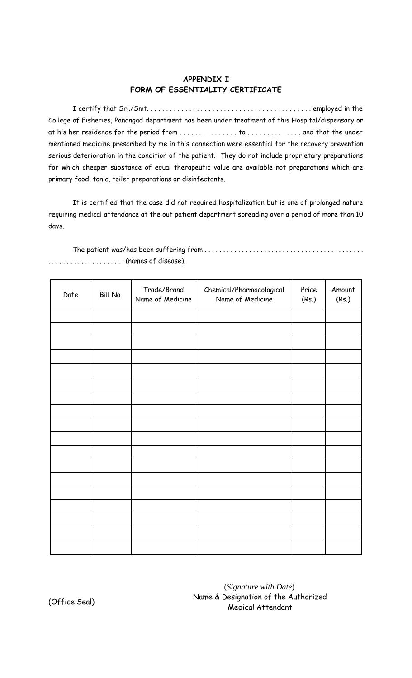## **APPENDIX I FORM OF ESSENTIALITY CERTIFICATE**

I certify that Sri./Smt. . . . . . . . . . . . . . . . . . . . . . . . . . . . . . . . . . . . . . . . . . . employed in the College of Fisheries, Panangad department has been under treatment of this Hospital/dispensary or at his her residence for the period from . . . . . . . . . . . . . . . to . . . . . . . . . . . . . . and that the under mentioned medicine prescribed by me in this connection were essential for the recovery prevention serious deterioration in the condition of the patient. They do not include proprietary preparations for which cheaper substance of equal therapeutic value are available not preparations which are primary food, tonic, toilet preparations or disinfectants.

It is certified that the case did not required hospitalization but is one of prolonged nature requiring medical attendance at the out patient department spreading over a period of more than 10 days.

| Date | Bill No. | Trade/Brand<br>Name of Medicine | Chemical/Pharmacological<br>Name of Medicine | Price<br>(Rs.) | Amount<br>(Rs.) |
|------|----------|---------------------------------|----------------------------------------------|----------------|-----------------|
|      |          |                                 |                                              |                |                 |
|      |          |                                 |                                              |                |                 |
|      |          |                                 |                                              |                |                 |
|      |          |                                 |                                              |                |                 |
|      |          |                                 |                                              |                |                 |
|      |          |                                 |                                              |                |                 |
|      |          |                                 |                                              |                |                 |
|      |          |                                 |                                              |                |                 |
|      |          |                                 |                                              |                |                 |
|      |          |                                 |                                              |                |                 |
|      |          |                                 |                                              |                |                 |
|      |          |                                 |                                              |                |                 |
|      |          |                                 |                                              |                |                 |
|      |          |                                 |                                              |                |                 |
|      |          |                                 |                                              |                |                 |
|      |          |                                 |                                              |                |                 |
|      |          |                                 |                                              |                |                 |
|      |          |                                 |                                              |                |                 |

The patient was/has been suffering from . . . . . . . . . . . . . . . . . . . . . . . . . . . . . . . . . . . . . . . . . . . . . . . . . . . . . . . . . . . . . . . . (names of disease).

 (*Signature with Date*) (Office Seal) Name & Designation of the Authorized Medical Attendant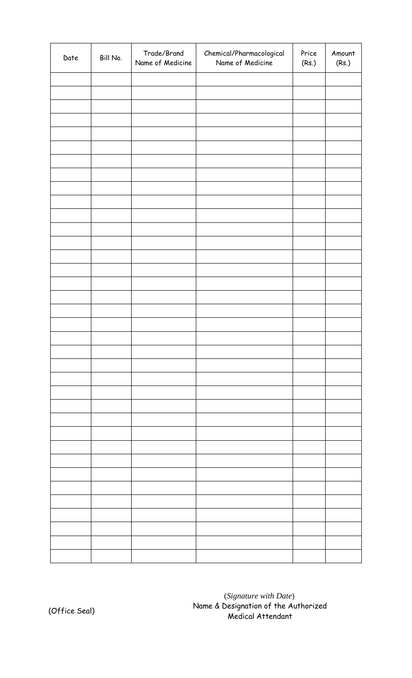| Date | Bill No. | Trade/Brand<br>Name of Medicine | Chemical/Pharmacological<br>Name of Medicine | Price<br>(Rs.) | Amount<br>(Rs.) |
|------|----------|---------------------------------|----------------------------------------------|----------------|-----------------|
|      |          |                                 |                                              |                |                 |
|      |          |                                 |                                              |                |                 |
|      |          |                                 |                                              |                |                 |
|      |          |                                 |                                              |                |                 |
|      |          |                                 |                                              |                |                 |
|      |          |                                 |                                              |                |                 |
|      |          |                                 |                                              |                |                 |
|      |          |                                 |                                              |                |                 |
|      |          |                                 |                                              |                |                 |
|      |          |                                 |                                              |                |                 |
|      |          |                                 |                                              |                |                 |
|      |          |                                 |                                              |                |                 |
|      |          |                                 |                                              |                |                 |
|      |          |                                 |                                              |                |                 |
|      |          |                                 |                                              |                |                 |
|      |          |                                 |                                              |                |                 |
|      |          |                                 |                                              |                |                 |
|      |          |                                 |                                              |                |                 |
|      |          |                                 |                                              |                |                 |
|      |          |                                 |                                              |                |                 |
|      |          |                                 |                                              |                |                 |
|      |          |                                 |                                              |                |                 |
|      |          |                                 |                                              |                |                 |
|      |          |                                 |                                              |                |                 |
|      |          |                                 |                                              |                |                 |
|      |          |                                 |                                              |                |                 |
|      |          |                                 |                                              |                |                 |
|      |          |                                 |                                              |                |                 |
|      |          |                                 |                                              |                |                 |
|      |          |                                 |                                              |                |                 |
|      |          |                                 |                                              |                |                 |
|      |          |                                 |                                              |                |                 |
|      |          |                                 |                                              |                |                 |
|      |          |                                 |                                              |                |                 |
|      |          |                                 |                                              |                |                 |
|      |          |                                 |                                              |                |                 |